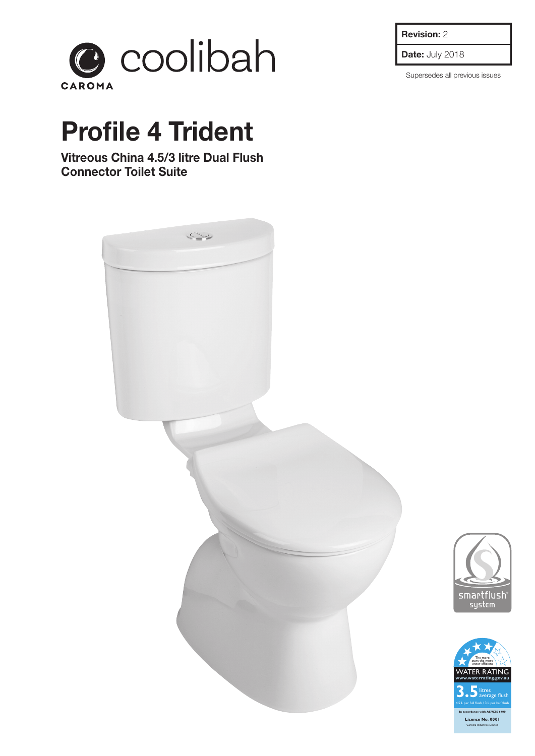

## **Profile 4 Trident**

**Vitreous China 4.5/3 litre Dual Flush Connector Toilet Suite**



**Revision:** 2

**Date:** July 2018

Supersedes all previous issues